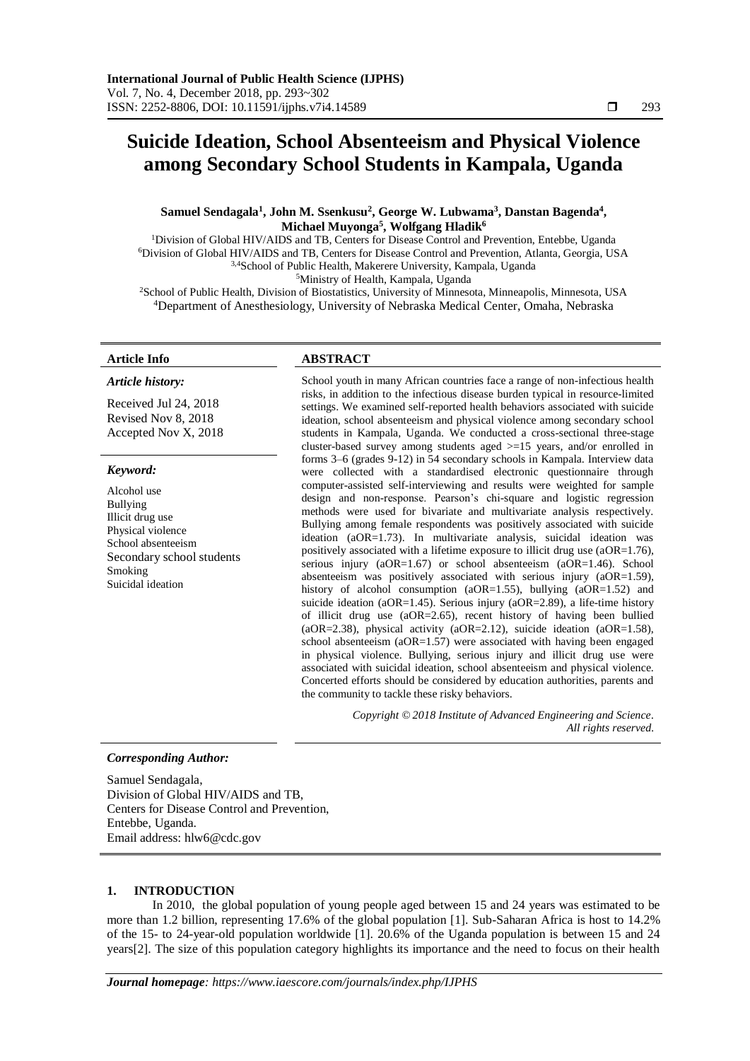# **Suicide Ideation, School Absenteeism and Physical Violence among Secondary School Students in Kampala, Uganda**

# **Samuel Sendagala<sup>1</sup> , John M. Ssenkusu<sup>2</sup> , George W. Lubwama<sup>3</sup> , Danstan Bagenda<sup>4</sup> , Michael Muyonga<sup>5</sup> , Wolfgang Hladik<sup>6</sup>**

Division of Global HIV/AIDS and TB, Centers for Disease Control and Prevention, Entebbe, Uganda Division of Global HIV/AIDS and TB, Centers for Disease Control and Prevention, Atlanta, Georgia, USA 3,4School of Public Health, Makerere University, Kampala, Uganda Ministry of Health, Kampala, Uganda

<sup>2</sup>School of Public Health, Division of Biostatistics, University of Minnesota, Minneapolis, Minnesota, USA <sup>4</sup>Department of Anesthesiology, University of Nebraska Medical Center, Omaha, Nebraska

#### *Article history:*

Received Jul 24, 2018 Revised Nov 8, 2018 Accepted Nov X, 2018

#### *Keyword:*

Alcohol use Bullying Illicit drug use Physical violence School absenteeism Secondary school students Smoking Suicidal ideation

# **Article Info ABSTRACT**

School youth in many African countries face a range of non-infectious health risks, in addition to the infectious disease burden typical in resource-limited settings. We examined self-reported health behaviors associated with suicide ideation, school absenteeism and physical violence among secondary school students in Kampala, Uganda. We conducted a cross-sectional three-stage cluster-based survey among students aged >=15 years, and/or enrolled in forms 3–6 (grades 9-12) in 54 secondary schools in Kampala. Interview data were collected with a standardised electronic questionnaire through computer-assisted self-interviewing and results were weighted for sample design and non-response. Pearson's chi-square and logistic regression methods were used for bivariate and multivariate analysis respectively. Bullying among female respondents was positively associated with suicide ideation (aOR=1.73). In multivariate analysis, suicidal ideation was positively associated with a lifetime exposure to illicit drug use (aOR=1.76), serious injury (aOR=1.67) or school absenteeism (aOR=1.46). School absenteeism was positively associated with serious injury (aOR=1.59), history of alcohol consumption (aOR=1.55), bullying (aOR=1.52) and suicide ideation (aOR=1.45). Serious injury (aOR=2.89), a life-time history of illicit drug use (aOR=2.65), recent history of having been bullied (aOR=2.38), physical activity (aOR=2.12), suicide ideation (aOR=1.58), school absenteeism (aOR=1.57) were associated with having been engaged in physical violence. Bullying, serious injury and illicit drug use were associated with suicidal ideation, school absenteeism and physical violence. Concerted efforts should be considered by education authorities, parents and the community to tackle these risky behaviors.

> *Copyright © 2018 Institute of Advanced Engineering and Science. All rights reserved.*

# *Corresponding Author:*

Samuel Sendagala, Division of Global HIV/AIDS and TB, Centers for Disease Control and Prevention, Entebbe, Uganda. Email address: hlw6@cdc.gov

# **1. INTRODUCTION**

In 2010, the global population of young people aged between 15 and 24 years was estimated to be more than 1.2 billion, representing 17.6% of the global population [1]. Sub-Saharan Africa is host to 14.2% of the 15- to 24-year-old population worldwide [1]. 20.6% of the Uganda population is between 15 and 24 years[2]. The size of this population category highlights its importance and the need to focus on their health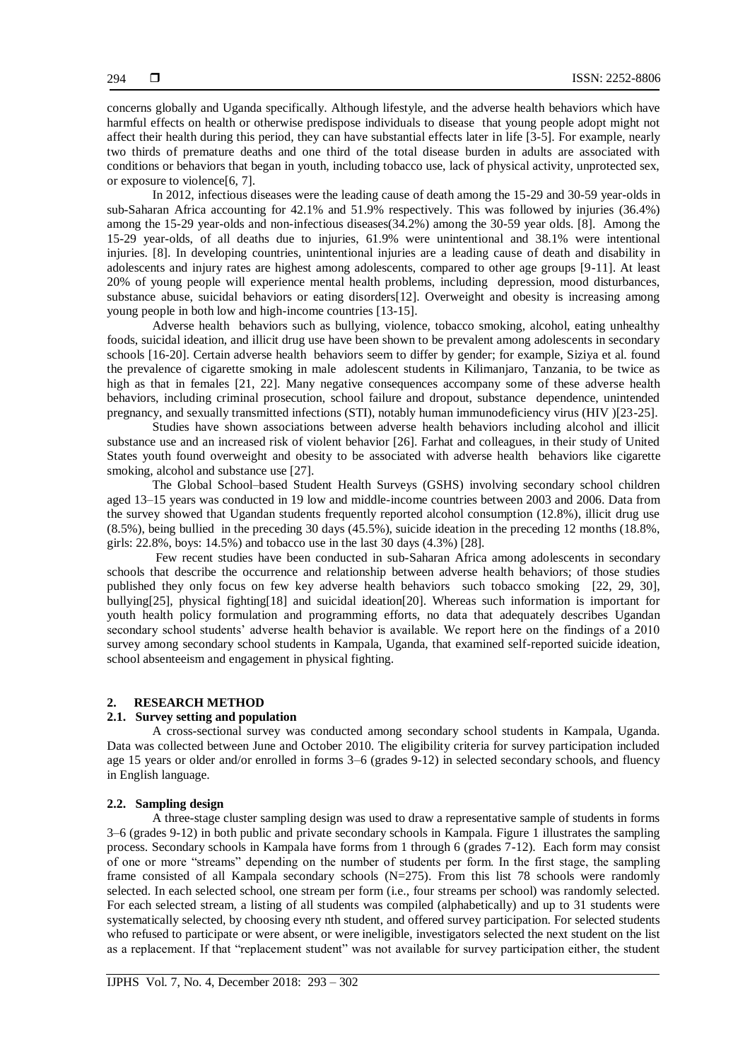concerns globally and Uganda specifically. Although lifestyle, and the adverse health behaviors which have harmful effects on health or otherwise predispose individuals to disease that young people adopt might not affect their health during this period, they can have substantial effects later in life [3-5]. For example, nearly two thirds of premature deaths and one third of the total disease burden in adults are associated with conditions or behaviors that began in youth, including tobacco use, lack of physical activity, unprotected sex, or exposure to violence[6, 7].

In 2012, infectious diseases were the leading cause of death among the 15-29 and 30-59 year-olds in sub-Saharan Africa accounting for 42.1% and 51.9% respectively. This was followed by injuries (36.4%) among the 15-29 year-olds and non-infectious diseases(34.2%) among the 30-59 year olds. [8]. Among the 15-29 year-olds, of all deaths due to injuries, 61.9% were unintentional and 38.1% were intentional injuries. [8]. In developing countries, unintentional injuries are a leading cause of death and disability in adolescents and injury rates are highest among adolescents, compared to other age groups [9-11]. At least 20% of young people will experience mental health problems, including depression, mood disturbances, substance abuse, suicidal behaviors or eating disorders[12]. Overweight and obesity is increasing among young people in both low and high-income countries [13-15].

Adverse health behaviors such as bullying, violence, tobacco smoking, alcohol, eating unhealthy foods, suicidal ideation, and illicit drug use have been shown to be prevalent among adolescents in secondary schools [16-20]. Certain adverse health behaviors seem to differ by gender; for example, Siziya et al. found the prevalence of cigarette smoking in male adolescent students in Kilimanjaro, Tanzania, to be twice as high as that in females [21, 22]. Many negative consequences accompany some of these adverse health behaviors, including criminal prosecution, school failure and dropout, substance dependence, unintended pregnancy, and sexually transmitted infections (STI), notably human immunodeficiency virus (HIV )[23-25].

Studies have shown associations between adverse health behaviors including alcohol and illicit substance use and an increased risk of violent behavior [26]. Farhat and colleagues, in their study of United States youth found overweight and obesity to be associated with adverse health behaviors like cigarette smoking, alcohol and substance use [27].

The Global School–based Student Health Surveys (GSHS) involving secondary school children aged 13–15 years was conducted in 19 low and middle-income countries between 2003 and 2006. Data from the survey showed that Ugandan students frequently reported alcohol consumption (12.8%), illicit drug use (8.5%), being bullied in the preceding 30 days (45.5%), suicide ideation in the preceding 12 months (18.8%, girls: 22.8%, boys: 14.5%) and tobacco use in the last 30 days (4.3%) [28].

Few recent studies have been conducted in sub-Saharan Africa among adolescents in secondary schools that describe the occurrence and relationship between adverse health behaviors; of those studies published they only focus on few key adverse health behaviors such tobacco smoking [22, 29, 30], bullying[25], physical fighting[18] and suicidal ideation[20]. Whereas such information is important for youth health policy formulation and programming efforts, no data that adequately describes Ugandan secondary school students' adverse health behavior is available. We report here on the findings of a 2010 survey among secondary school students in Kampala, Uganda, that examined self-reported suicide ideation, school absenteeism and engagement in physical fighting.

#### **2. RESEARCH METHOD**

# **2.1. Survey setting and population**

A cross-sectional survey was conducted among secondary school students in Kampala, Uganda. Data was collected between June and October 2010. The eligibility criteria for survey participation included age 15 years or older and/or enrolled in forms 3–6 (grades 9-12) in selected secondary schools, and fluency in English language.

# **2.2. Sampling design**

A three-stage cluster sampling design was used to draw a representative sample of students in forms 3–6 (grades 9-12) in both public and private secondary schools in Kampala. Figure 1 illustrates the sampling process. Secondary schools in Kampala have forms from 1 through 6 (grades 7-12). Each form may consist of one or more "streams" depending on the number of students per form. In the first stage, the sampling frame consisted of all Kampala secondary schools  $(N=275)$ . From this list 78 schools were randomly selected. In each selected school, one stream per form (i.e., four streams per school) was randomly selected. For each selected stream, a listing of all students was compiled (alphabetically) and up to 31 students were systematically selected, by choosing every nth student, and offered survey participation. For selected students who refused to participate or were absent, or were ineligible, investigators selected the next student on the list as a replacement. If that "replacement student" was not available for survey participation either, the student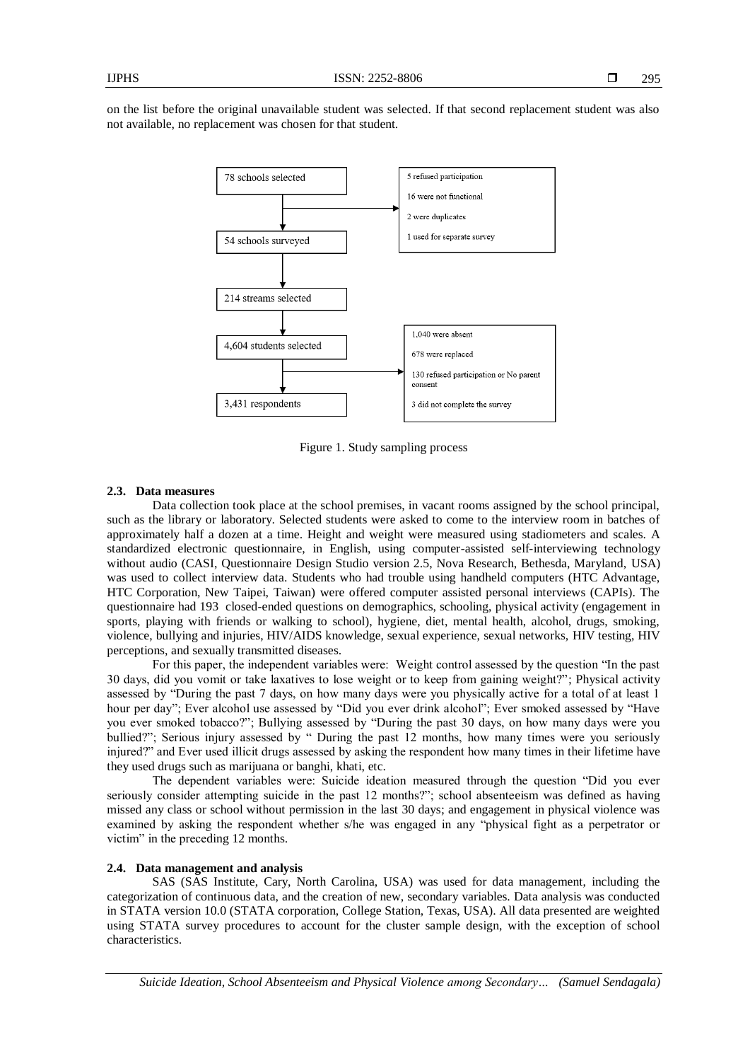on the list before the original unavailable student was selected. If that second replacement student was also not available, no replacement was chosen for that student.



Figure 1. Study sampling process

#### **2.3. Data measures**

Data collection took place at the school premises, in vacant rooms assigned by the school principal, such as the library or laboratory. Selected students were asked to come to the interview room in batches of approximately half a dozen at a time. Height and weight were measured using stadiometers and scales. A standardized electronic questionnaire, in English, using computer-assisted self-interviewing technology without audio (CASI, Questionnaire Design Studio version 2.5, Nova Research, Bethesda, Maryland, USA) was used to collect interview data. Students who had trouble using handheld computers (HTC Advantage, HTC Corporation, New Taipei, Taiwan) were offered computer assisted personal interviews (CAPIs). The questionnaire had 193 closed-ended questions on demographics, schooling, physical activity (engagement in sports, playing with friends or walking to school), hygiene, diet, mental health, alcohol, drugs, smoking, violence, bullying and injuries, HIV/AIDS knowledge, sexual experience, sexual networks, HIV testing, HIV perceptions, and sexually transmitted diseases.

For this paper, the independent variables were: Weight control assessed by the question "In the past 30 days, did you vomit or take laxatives to lose weight or to keep from gaining weight?"; Physical activity assessed by "During the past 7 days, on how many days were you physically active for a total of at least 1 hour per day"; Ever alcohol use assessed by "Did you ever drink alcohol"; Ever smoked assessed by "Have you ever smoked tobacco?"; Bullying assessed by "During the past 30 days, on how many days were you bullied?"; Serious injury assessed by " During the past 12 months, how many times were you seriously injured?" and Ever used illicit drugs assessed by asking the respondent how many times in their lifetime have they used drugs such as marijuana or banghi, khati, etc.

The dependent variables were: Suicide ideation measured through the question "Did you ever seriously consider attempting suicide in the past 12 months?"; school absenteeism was defined as having missed any class or school without permission in the last 30 days; and engagement in physical violence was examined by asking the respondent whether s/he was engaged in any "physical fight as a perpetrator or victim" in the preceding 12 months.

#### **2.4. Data management and analysis**

SAS (SAS Institute, Cary, North Carolina, USA) was used for data management, including the categorization of continuous data, and the creation of new, secondary variables. Data analysis was conducted in STATA version 10.0 (STATA corporation, College Station, Texas, USA). All data presented are weighted using STATA survey procedures to account for the cluster sample design, with the exception of school characteristics.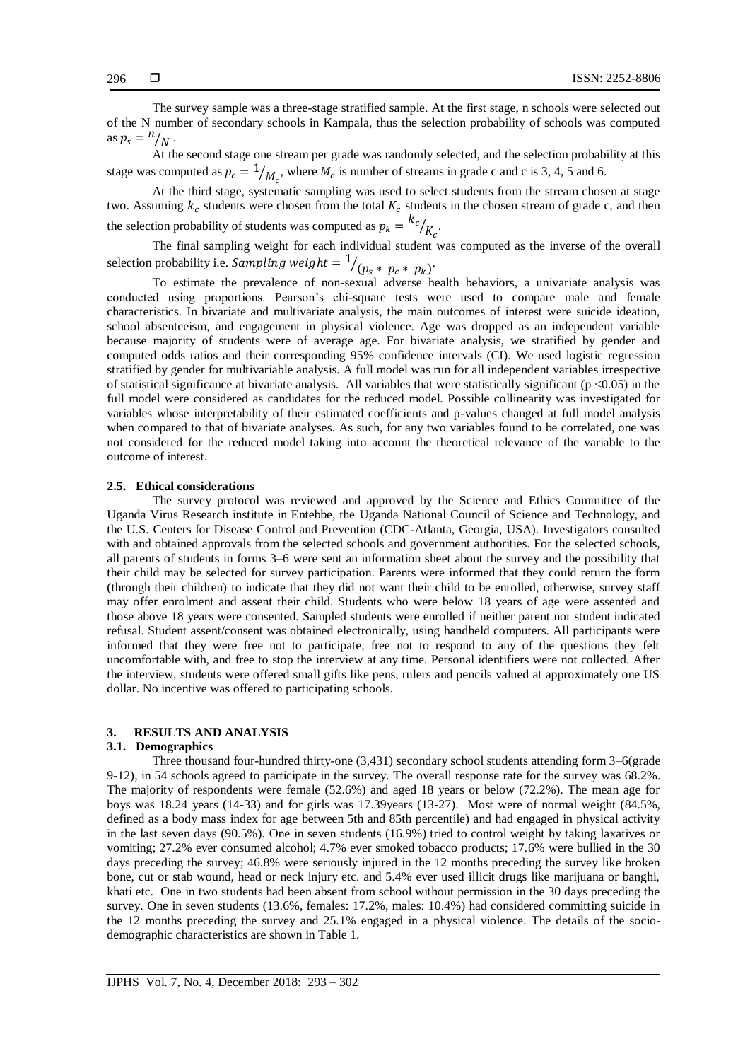The survey sample was a three-stage stratified sample. At the first stage, n schools were selected out of the N number of secondary schools in Kampala, thus the selection probability of schools was computed as  $p_s = \frac{n}{N}$ .

At the second stage one stream per grade was randomly selected, and the selection probability at this stage was computed as  $p_c = \frac{1}{M_c}$ , where  $M_c$  is number of streams in grade c and c is 3, 4, 5 and 6.

At the third stage, systematic sampling was used to select students from the stream chosen at stage two. Assuming  $k_c$  students were chosen from the total  $K_c$  students in the chosen stream of grade c, and then the selection probability of students was computed as  $p_k = \frac{k_c}{k}$  $\frac{1}{K_c}$ .

The final sampling weight for each individual student was computed as the inverse of the overall selection probability i.e. Sampling weight =  $\frac{1}{p_s * p_c * p_k}$ .

To estimate the prevalence of non-sexual adverse health behaviors, a univariate analysis was conducted using proportions. Pearson's chi-square tests were used to compare male and female characteristics. In bivariate and multivariate analysis, the main outcomes of interest were suicide ideation, school absenteeism, and engagement in physical violence. Age was dropped as an independent variable because majority of students were of average age. For bivariate analysis, we stratified by gender and computed odds ratios and their corresponding 95% confidence intervals (CI). We used logistic regression stratified by gender for multivariable analysis. A full model was run for all independent variables irrespective of statistical significance at bivariate analysis. All variables that were statistically significant ( $p < 0.05$ ) in the full model were considered as candidates for the reduced model. Possible collinearity was investigated for variables whose interpretability of their estimated coefficients and p-values changed at full model analysis when compared to that of bivariate analyses. As such, for any two variables found to be correlated, one was not considered for the reduced model taking into account the theoretical relevance of the variable to the outcome of interest.

#### **2.5. Ethical considerations**

The survey protocol was reviewed and approved by the Science and Ethics Committee of the Uganda Virus Research institute in Entebbe, the Uganda National Council of Science and Technology, and the U.S. Centers for Disease Control and Prevention (CDC-Atlanta, Georgia, USA). Investigators consulted with and obtained approvals from the selected schools and government authorities. For the selected schools, all parents of students in forms 3–6 were sent an information sheet about the survey and the possibility that their child may be selected for survey participation. Parents were informed that they could return the form (through their children) to indicate that they did not want their child to be enrolled, otherwise, survey staff may offer enrolment and assent their child. Students who were below 18 years of age were assented and those above 18 years were consented. Sampled students were enrolled if neither parent nor student indicated refusal. Student assent/consent was obtained electronically, using handheld computers. All participants were informed that they were free not to participate, free not to respond to any of the questions they felt uncomfortable with, and free to stop the interview at any time. Personal identifiers were not collected. After the interview, students were offered small gifts like pens, rulers and pencils valued at approximately one US dollar. No incentive was offered to participating schools.

### **3. RESULTS AND ANALYSIS**

# **3.1. Demographics**

Three thousand four-hundred thirty-one (3,431) secondary school students attending form 3–6(grade 9-12), in 54 schools agreed to participate in the survey. The overall response rate for the survey was 68.2%. The majority of respondents were female (52.6%) and aged 18 years or below (72.2%). The mean age for boys was 18.24 years (14-33) and for girls was 17.39years (13-27). Most were of normal weight (84.5%, defined as a body mass index for age between 5th and 85th percentile) and had engaged in physical activity in the last seven days (90.5%). One in seven students (16.9%) tried to control weight by taking laxatives or vomiting; 27.2% ever consumed alcohol; 4.7% ever smoked tobacco products; 17.6% were bullied in the 30 days preceding the survey; 46.8% were seriously injured in the 12 months preceding the survey like broken bone, cut or stab wound, head or neck injury etc. and 5.4% ever used illicit drugs like marijuana or banghi, khati etc. One in two students had been absent from school without permission in the 30 days preceding the survey. One in seven students (13.6%, females: 17.2%, males: 10.4%) had considered committing suicide in the 12 months preceding the survey and 25.1% engaged in a physical violence. The details of the sociodemographic characteristics are shown in Table 1.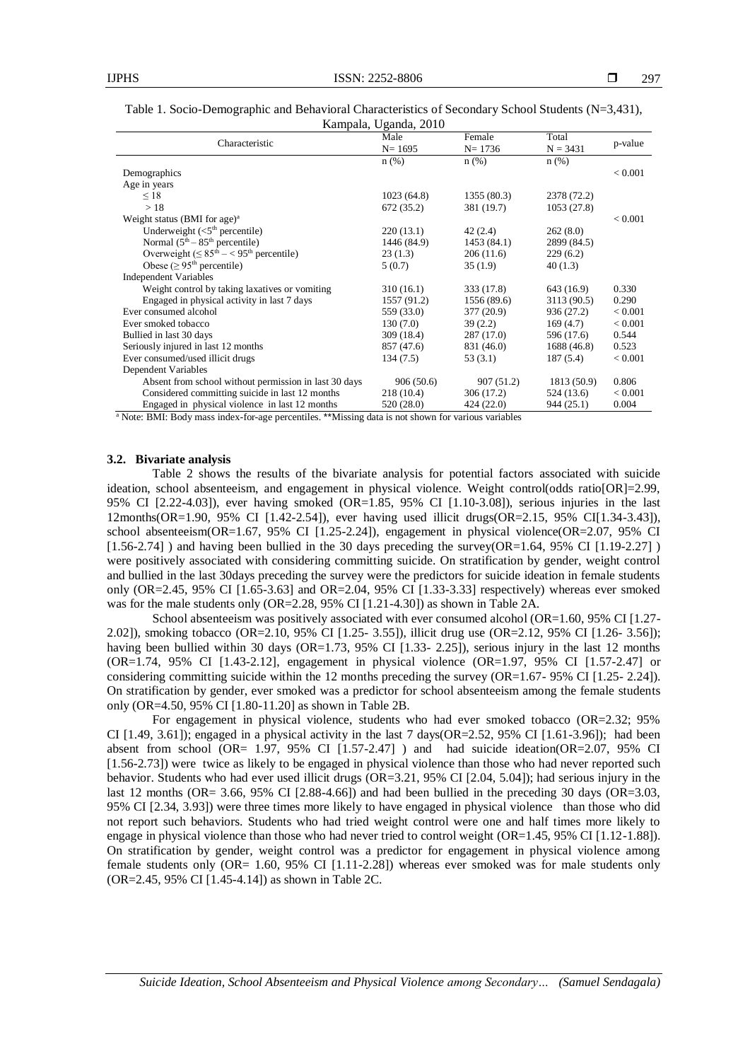| Kampala, Uganda, 2010 |                                                                                                                                                                                                                                                                                                                                                                                                                                                                                                                          |                                                                              |                                                                                                          |  |  |  |
|-----------------------|--------------------------------------------------------------------------------------------------------------------------------------------------------------------------------------------------------------------------------------------------------------------------------------------------------------------------------------------------------------------------------------------------------------------------------------------------------------------------------------------------------------------------|------------------------------------------------------------------------------|----------------------------------------------------------------------------------------------------------|--|--|--|
| Male                  | Female                                                                                                                                                                                                                                                                                                                                                                                                                                                                                                                   | Total                                                                        | p-value                                                                                                  |  |  |  |
|                       |                                                                                                                                                                                                                                                                                                                                                                                                                                                                                                                          |                                                                              |                                                                                                          |  |  |  |
|                       |                                                                                                                                                                                                                                                                                                                                                                                                                                                                                                                          |                                                                              | < 0.001                                                                                                  |  |  |  |
|                       |                                                                                                                                                                                                                                                                                                                                                                                                                                                                                                                          |                                                                              |                                                                                                          |  |  |  |
|                       |                                                                                                                                                                                                                                                                                                                                                                                                                                                                                                                          |                                                                              |                                                                                                          |  |  |  |
|                       |                                                                                                                                                                                                                                                                                                                                                                                                                                                                                                                          |                                                                              |                                                                                                          |  |  |  |
|                       |                                                                                                                                                                                                                                                                                                                                                                                                                                                                                                                          |                                                                              | < 0.001                                                                                                  |  |  |  |
|                       |                                                                                                                                                                                                                                                                                                                                                                                                                                                                                                                          |                                                                              |                                                                                                          |  |  |  |
|                       |                                                                                                                                                                                                                                                                                                                                                                                                                                                                                                                          |                                                                              |                                                                                                          |  |  |  |
| 23(1.3)               | 206(11.6)                                                                                                                                                                                                                                                                                                                                                                                                                                                                                                                | 229(6.2)                                                                     |                                                                                                          |  |  |  |
| 5(0.7)                | 35(1.9)                                                                                                                                                                                                                                                                                                                                                                                                                                                                                                                  | 40(1.3)                                                                      |                                                                                                          |  |  |  |
|                       |                                                                                                                                                                                                                                                                                                                                                                                                                                                                                                                          |                                                                              |                                                                                                          |  |  |  |
| 310(16.1)             | 333 (17.8)                                                                                                                                                                                                                                                                                                                                                                                                                                                                                                               | 643 (16.9)                                                                   | 0.330                                                                                                    |  |  |  |
| 1557 (91.2)           | 1556 (89.6)                                                                                                                                                                                                                                                                                                                                                                                                                                                                                                              | 3113 (90.5)                                                                  | 0.290                                                                                                    |  |  |  |
| 559 (33.0)            | 377 (20.9)                                                                                                                                                                                                                                                                                                                                                                                                                                                                                                               | 936 (27.2)                                                                   | < 0.001                                                                                                  |  |  |  |
| 130(7.0)              | 39(2.2)                                                                                                                                                                                                                                                                                                                                                                                                                                                                                                                  | 169(4.7)                                                                     | < 0.001                                                                                                  |  |  |  |
| 309 (18.4)            | 287 (17.0)                                                                                                                                                                                                                                                                                                                                                                                                                                                                                                               | 596 (17.6)                                                                   | 0.544                                                                                                    |  |  |  |
| 857 (47.6)            | 831 (46.0)                                                                                                                                                                                                                                                                                                                                                                                                                                                                                                               | 1688 (46.8)                                                                  | 0.523                                                                                                    |  |  |  |
| 134(7.5)              | 53(3.1)                                                                                                                                                                                                                                                                                                                                                                                                                                                                                                                  | 187(5.4)                                                                     | < 0.001                                                                                                  |  |  |  |
|                       |                                                                                                                                                                                                                                                                                                                                                                                                                                                                                                                          |                                                                              |                                                                                                          |  |  |  |
| 906(50.6)             | 907 (51.2)                                                                                                                                                                                                                                                                                                                                                                                                                                                                                                               | 1813 (50.9)                                                                  | 0.806                                                                                                    |  |  |  |
| 218(10.4)             | 306 (17.2)                                                                                                                                                                                                                                                                                                                                                                                                                                                                                                               | 524 (13.6)                                                                   | < 0.001                                                                                                  |  |  |  |
| 520 (28.0)            | 424 (22.0)                                                                                                                                                                                                                                                                                                                                                                                                                                                                                                               | 944 (25.1)                                                                   | 0.004                                                                                                    |  |  |  |
|                       | $N = 1695$<br>$n$ (%)<br>1023(64.8)<br>672(35.2)<br>220(13.1)<br>1446 (84.9)<br>$\mathbf{r} \cdot \mathbf{r} = \mathbf{r} + \mathbf{r} + \mathbf{r} + \mathbf{r} + \mathbf{r} + \mathbf{r} + \mathbf{r} + \mathbf{r} + \mathbf{r} + \mathbf{r} + \mathbf{r} + \mathbf{r} + \mathbf{r} + \mathbf{r} + \mathbf{r} + \mathbf{r} + \mathbf{r} + \mathbf{r} + \mathbf{r} + \mathbf{r} + \mathbf{r} + \mathbf{r} + \mathbf{r} + \mathbf{r} + \mathbf{r} + \mathbf{r} + \mathbf{r} + \mathbf{r} + \mathbf{r} + \math$<br>$\sim$ | $N = 1736$<br>$n$ (%)<br>1355 (80.3)<br>381 (19.7)<br>42(2.4)<br>1453 (84.1) | $N = 3431$<br>$n$ (%)<br>2378 (72.2)<br>1053(27.8)<br>262(8.0)<br>2899 (84.5)<br>$\cdot$ $\cdot$ $\cdot$ |  |  |  |

Table 1. Socio-Demographic and Behavioral Characteristics of Secondary School Students (N=3,431),

<sup>a</sup> Note: BMI: Body mass index-for-age percentiles. \*\*Missing data is not shown for various variables

#### **3.2. Bivariate analysis**

Table 2 shows the results of the bivariate analysis for potential factors associated with suicide ideation, school absenteeism, and engagement in physical violence. Weight control(odds ratio[OR]=2.99, 95% CI [2.22-4.03]), ever having smoked (OR=1.85, 95% CI [1.10-3.08]), serious injuries in the last 12months(OR=1.90, 95% CI [1.42-2.54]), ever having used illicit drugs(OR=2.15, 95% CI[1.34-3.43]), school absenteeism(OR=1.67, 95% CI [1.25-2.24]), engagement in physical violence(OR=2.07, 95% CI [1.56-2.74] ) and having been bullied in the 30 days preceding the survey(OR=1.64, 95% CI [1.19-2.27] ) were positively associated with considering committing suicide. On stratification by gender, weight control and bullied in the last 30days preceding the survey were the predictors for suicide ideation in female students only (OR=2.45, 95% CI [1.65-3.63] and OR=2.04, 95% CI [1.33-3.33] respectively) whereas ever smoked was for the male students only  $(OR=2.28, 95\% \text{ CI } [1.21-4.30])$  as shown in Table 2A.

School absenteeism was positively associated with ever consumed alcohol (OR=1.60, 95% CI [1.27- 2.02]), smoking tobacco (OR=2.10, 95% CI [1.25- 3.55]), illicit drug use (OR=2.12, 95% CI [1.26- 3.56]); having been bullied within 30 days (OR=1.73, 95% CI [1.33- 2.25]), serious injury in the last 12 months (OR=1.74, 95% CI [1.43-2.12], engagement in physical violence (OR=1.97, 95% CI [1.57-2.47] or considering committing suicide within the 12 months preceding the survey (OR=1.67- 95% CI [1.25- 2.24]). On stratification by gender, ever smoked was a predictor for school absenteeism among the female students only (OR=4.50, 95% CI [1.80-11.20] as shown in Table 2B.

For engagement in physical violence, students who had ever smoked tobacco (OR=2.32; 95% CI  $[1.49, 3.61]$ ; engaged in a physical activity in the last 7 days(OR=2.52, 95% CI  $[1.61-3.96]$ ); had been absent from school (OR= 1.97, 95% CI  $[1.57-2.47]$ ) and had suicide ideation(OR=2.07, 95% CI [1.56-2.73]) were twice as likely to be engaged in physical violence than those who had never reported such behavior. Students who had ever used illicit drugs (OR=3.21, 95% CI [2.04, 5.04]); had serious injury in the last 12 months (OR= 3.66, 95% CI [2.88-4.66]) and had been bullied in the preceding 30 days (OR=3.03, 95% CI [2.34, 3.93]) were three times more likely to have engaged in physical violence than those who did not report such behaviors. Students who had tried weight control were one and half times more likely to engage in physical violence than those who had never tried to control weight (OR=1.45, 95% CI [1.12-1.88]). On stratification by gender, weight control was a predictor for engagement in physical violence among female students only (OR= 1.60, 95% CI [1.11-2.28]) whereas ever smoked was for male students only (OR=2.45, 95% CI [1.45-4.14]) as shown in Table 2C.

*Suicide Ideation, School Absenteeism and Physical Violence among Secondary… (Samuel Sendagala)*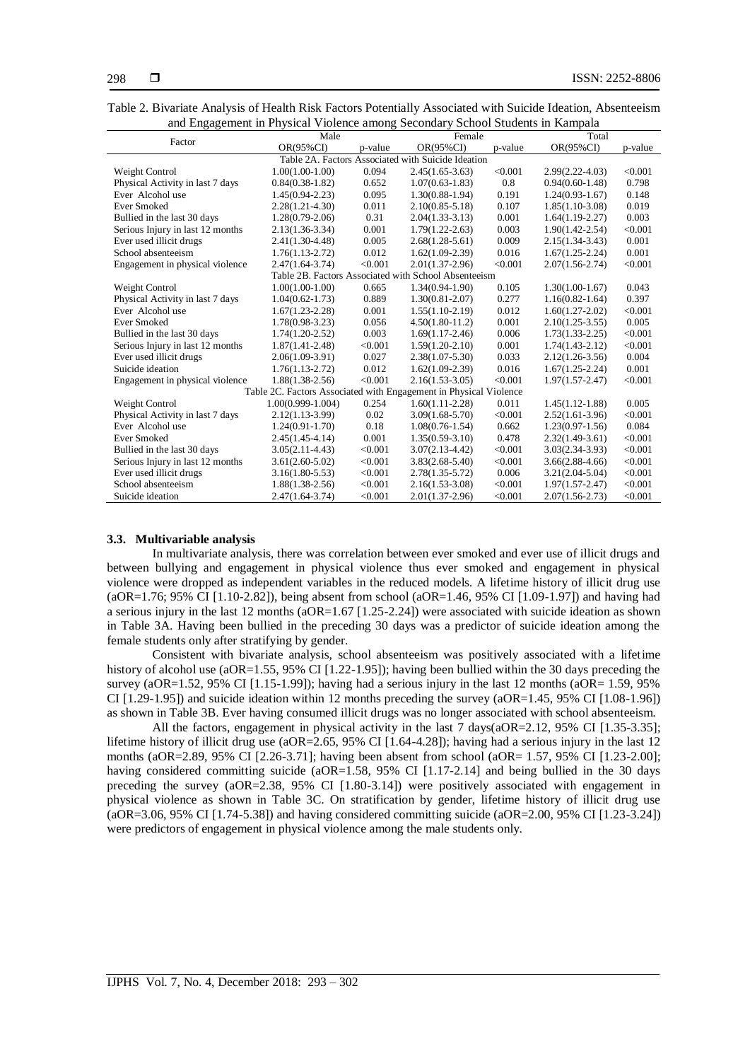| Table 2. Bivariate Analysis of Health Risk Factors Potentially Associated with Suicide Ideation, Absenteeism |  |
|--------------------------------------------------------------------------------------------------------------|--|
| and Engagement in Physical Violence among Secondary School Students in Kampala                               |  |

|                                                    | Male                                                              |         | Female                                               |         | Total               |         |
|----------------------------------------------------|-------------------------------------------------------------------|---------|------------------------------------------------------|---------|---------------------|---------|
| Factor                                             | $OR(95\%CI)$                                                      | p-value | OR(95%CI)                                            | p-value | OR(95%CI)           | p-value |
| Table 2A. Factors Associated with Suicide Ideation |                                                                   |         |                                                      |         |                     |         |
| Weight Control                                     | $1.00(1.00-1.00)$                                                 | 0.094   | $2.45(1.65-3.63)$                                    | < 0.001 | $2.99(2.22 - 4.03)$ | < 0.001 |
| Physical Activity in last 7 days                   | $0.84(0.38-1.82)$                                                 | 0.652   | $1.07(0.63 - 1.83)$                                  | 0.8     | $0.94(0.60-1.48)$   | 0.798   |
| Ever Alcohol use                                   | $1.45(0.94 - 2.23)$                                               | 0.095   | $1.30(0.88-1.94)$                                    | 0.191   | $1.24(0.93-1.67)$   | 0.148   |
| <b>Ever Smoked</b>                                 | $2.28(1.21-4.30)$                                                 | 0.011   | $2.10(0.85 - 5.18)$                                  | 0.107   | $1.85(1.10-3.08)$   | 0.019   |
| Bullied in the last 30 days                        | $1.28(0.79-2.06)$                                                 | 0.31    | $2.04(1.33-3.13)$                                    | 0.001   | $1.64(1.19-2.27)$   | 0.003   |
| Serious Injury in last 12 months                   | $2.13(1.36-3.34)$                                                 | 0.001   | $1.79(1.22 - 2.63)$                                  | 0.003   | $1.90(1.42 - 2.54)$ | < 0.001 |
| Ever used illicit drugs                            | 2.41(1.30-4.48)                                                   | 0.005   | $2.68(1.28-5.61)$                                    | 0.009   | $2.15(1.34-3.43)$   | 0.001   |
| School absenteeism                                 | $1.76(1.13-2.72)$                                                 | 0.012   | $1.62(1.09-2.39)$                                    | 0.016   | $1.67(1.25-2.24)$   | 0.001   |
| Engagement in physical violence                    | $2.47(1.64 - 3.74)$                                               | < 0.001 | $2.01(1.37-2.96)$                                    | < 0.001 | $2.07(1.56-2.74)$   | < 0.001 |
|                                                    |                                                                   |         | Table 2B. Factors Associated with School Absenteeism |         |                     |         |
| Weight Control                                     | $1.00(1.00-1.00)$                                                 | 0.665   | $1.34(0.94-1.90)$                                    | 0.105   | $1.30(1.00-1.67)$   | 0.043   |
| Physical Activity in last 7 days                   | $1.04(0.62 - 1.73)$                                               | 0.889   | $1.30(0.81 - 2.07)$                                  | 0.277   | $1.16(0.82 - 1.64)$ | 0.397   |
| Ever Alcohol use                                   | $1.67(1.23 - 2.28)$                                               | 0.001   | $1.55(1.10-2.19)$                                    | 0.012   | $1.60(1.27-2.02)$   | < 0.001 |
| <b>Ever Smoked</b>                                 | $1.78(0.98-3.23)$                                                 | 0.056   | $4.50(1.80-11.2)$                                    | 0.001   | $2.10(1.25-3.55)$   | 0.005   |
| Bullied in the last 30 days                        | $1.74(1.20-2.52)$                                                 | 0.003   | $1.69(1.17-2.46)$                                    | 0.006   | $1.73(1.33-2.25)$   | < 0.001 |
| Serious Injury in last 12 months                   | $1.87(1.41 - 2.48)$                                               | < 0.001 | $1.59(1.20-2.10)$                                    | 0.001   | $1.74(1.43-2.12)$   | < 0.001 |
| Ever used illicit drugs                            | $2.06(1.09-3.91)$                                                 | 0.027   | $2.38(1.07 - 5.30)$                                  | 0.033   | $2.12(1.26-3.56)$   | 0.004   |
| Suicide ideation                                   | $1.76(1.13 - 2.72)$                                               | 0.012   | $1.62(1.09-2.39)$                                    | 0.016   | $1.67(1.25 - 2.24)$ | 0.001   |
| Engagement in physical violence                    | $1.88(1.38-2.56)$                                                 | < 0.001 | $2.16(1.53-3.05)$                                    | < 0.001 | $1.97(1.57 - 2.47)$ | < 0.001 |
|                                                    | Table 2C. Factors Associated with Engagement in Physical Violence |         |                                                      |         |                     |         |
| Weight Control                                     | $1.00(0.999 - 1.004)$                                             | 0.254   | $1.60(1.11-2.28)$                                    | 0.011   | $1.45(1.12 - 1.88)$ | 0.005   |
| Physical Activity in last 7 days                   | $2.12(1.13-3.99)$                                                 | 0.02    | $3.09(1.68 - 5.70)$                                  | < 0.001 | $2.52(1.61-3.96)$   | < 0.001 |
| Ever Alcohol use                                   | $1.24(0.91-1.70)$                                                 | 0.18    | $1.08(0.76-1.54)$                                    | 0.662   | $1.23(0.97-1.56)$   | 0.084   |
| <b>Ever Smoked</b>                                 | $2.45(1.45-4.14)$                                                 | 0.001   | $1.35(0.59-3.10)$                                    | 0.478   | $2.32(1.49-3.61)$   | < 0.001 |
| Bullied in the last 30 days                        | $3.05(2.11-4.43)$                                                 | < 0.001 | $3.07(2.13 - 4.42)$                                  | < 0.001 | $3.03(2.34 - 3.93)$ | < 0.001 |
| Serious Injury in last 12 months                   | $3.61(2.60-5.02)$                                                 | < 0.001 | $3.83(2.68 - 5.40)$                                  | < 0.001 | $3.66(2.88-4.66)$   | < 0.001 |
| Ever used illicit drugs                            | $3.16(1.80 - 5.53)$                                               | < 0.001 | $2.78(1.35 - 5.72)$                                  | 0.006   | $3.21(2.04 - 5.04)$ | < 0.001 |
| School absenteeism                                 | $1.88(1.38-2.56)$                                                 | < 0.001 | $2.16(1.53-3.08)$                                    | < 0.001 | $1.97(1.57 - 2.47)$ | < 0.001 |
| Suicide ideation                                   | $2.47(1.64 - 3.74)$                                               | < 0.001 | $2.01(1.37-2.96)$                                    | < 0.001 | $2.07(1.56 - 2.73)$ | < 0.001 |

#### **3.3. Multivariable analysis**

In multivariate analysis, there was correlation between ever smoked and ever use of illicit drugs and between bullying and engagement in physical violence thus ever smoked and engagement in physical violence were dropped as independent variables in the reduced models. A lifetime history of illicit drug use (aOR=1.76; 95% CI [1.10-2.82]), being absent from school (aOR=1.46, 95% CI [1.09-1.97]) and having had a serious injury in the last 12 months (aOR=1.67 [1.25-2.24]) were associated with suicide ideation as shown in Table 3A. Having been bullied in the preceding 30 days was a predictor of suicide ideation among the female students only after stratifying by gender.

Consistent with bivariate analysis, school absenteeism was positively associated with a lifetime history of alcohol use (aOR=1.55, 95% CI [1.22-1.95]); having been bullied within the 30 days preceding the survey (aOR=1.52, 95% CI [1.15-1.99]); having had a serious injury in the last 12 months (aOR= 1.59, 95%) CI  $[1.29-1.95]$ ) and suicide ideation within 12 months preceding the survey (aOR=1.45, 95% CI  $[1.08-1.96]$ ) as shown in Table 3B. Ever having consumed illicit drugs was no longer associated with school absenteeism.

All the factors, engagement in physical activity in the last 7 days(aOR=2.12, 95% CI [1.35-3.35]; lifetime history of illicit drug use (aOR=2.65, 95% CI [1.64-4.28]); having had a serious injury in the last 12 months (aOR=2.89, 95% CI [2.26-3.71]; having been absent from school (aOR= 1.57, 95% CI [1.23-2.00]; having considered committing suicide (aOR=1.58, 95% CI [1.17-2.14] and being bullied in the 30 days preceding the survey (aOR=2.38, 95% CI [1.80-3.14]) were positively associated with engagement in physical violence as shown in Table 3C. On stratification by gender, lifetime history of illicit drug use (aOR=3.06, 95% CI [1.74-5.38]) and having considered committing suicide (aOR=2.00, 95% CI [1.23-3.24]) were predictors of engagement in physical violence among the male students only.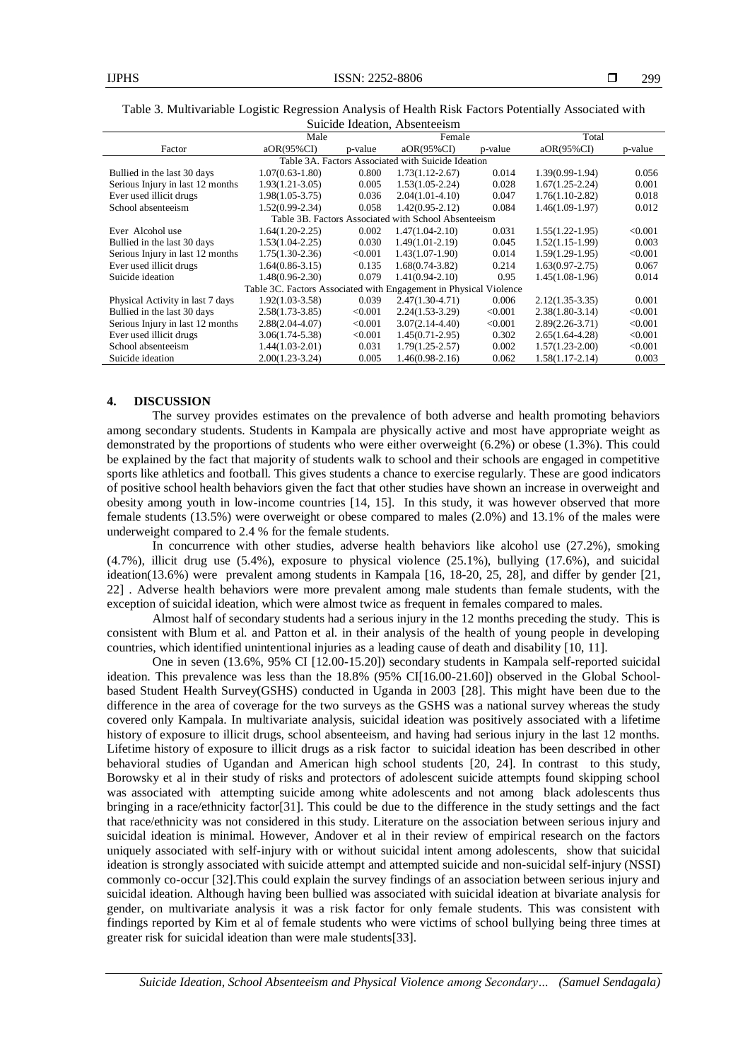|                                                      | Male                                                              |         | Female              |         | Total               |         |  |  |
|------------------------------------------------------|-------------------------------------------------------------------|---------|---------------------|---------|---------------------|---------|--|--|
| Factor                                               | aOR(95%CI)                                                        | p-value | $aOR(95\%CI)$       | p-value | $aOR(95\%CI)$       | p-value |  |  |
| Table 3A. Factors Associated with Suicide Ideation   |                                                                   |         |                     |         |                     |         |  |  |
| Bullied in the last 30 days                          | $1.07(0.63 - 1.80)$                                               | 0.800   | $1.73(1.12 - 2.67)$ | 0.014   | $1.39(0.99-1.94)$   | 0.056   |  |  |
| Serious Injury in last 12 months                     | $1.93(1.21-3.05)$                                                 | 0.005   | $1.53(1.05-2.24)$   | 0.028   | $1.67(1.25 - 2.24)$ | 0.001   |  |  |
| Ever used illicit drugs                              | $1.98(1.05-3.75)$                                                 | 0.036   | $2.04(1.01-4.10)$   | 0.047   | $1.76(1.10-2.82)$   | 0.018   |  |  |
| School absenteeism                                   | $1.52(0.99-2.34)$                                                 | 0.058   | $1.42(0.95 - 2.12)$ | 0.084   | $1.46(1.09-1.97)$   | 0.012   |  |  |
| Table 3B. Factors Associated with School Absenteeism |                                                                   |         |                     |         |                     |         |  |  |
| Ever Alcohol use                                     | $1.64(1.20-2.25)$                                                 | 0.002   | $1.47(1.04 - 2.10)$ | 0.031   | $1.55(1.22 - 1.95)$ | < 0.001 |  |  |
| Bullied in the last 30 days                          | $1.53(1.04-2.25)$                                                 | 0.030   | $1.49(1.01-2.19)$   | 0.045   | $1.52(1.15-1.99)$   | 0.003   |  |  |
| Serious Injury in last 12 months                     | $1.75(1.30-2.36)$                                                 | < 0.001 | $1.43(1.07-1.90)$   | 0.014   | $1.59(1.29-1.95)$   | < 0.001 |  |  |
| Ever used illicit drugs                              | $1.64(0.86-3.15)$                                                 | 0.135   | $1.68(0.74 - 3.82)$ | 0.214   | $1.63(0.97 - 2.75)$ | 0.067   |  |  |
| Suicide ideation                                     | $1.48(0.96-2.30)$                                                 | 0.079   | $1.41(0.94-2.10)$   | 0.95    | $1.45(1.08-1.96)$   | 0.014   |  |  |
|                                                      | Table 3C. Factors Associated with Engagement in Physical Violence |         |                     |         |                     |         |  |  |
| Physical Activity in last 7 days                     | $1.92(1.03 - 3.58)$                                               | 0.039   | $2.47(1.30-4.71)$   | 0.006   | $2.12(1.35-3.35)$   | 0.001   |  |  |
| Bullied in the last 30 days                          | $2.58(1.73-3.85)$                                                 | < 0.001 | $2.24(1.53-3.29)$   | < 0.001 | $2.38(1.80-3.14)$   | < 0.001 |  |  |
| Serious Injury in last 12 months                     | $2.88(2.04-4.07)$                                                 | < 0.001 | $3.07(2.14-4.40)$   | < 0.001 | $2.89(2.26 - 3.71)$ | < 0.001 |  |  |
| Ever used illicit drugs                              | $3.06(1.74 - 5.38)$                                               | < 0.001 | $1.45(0.71-2.95)$   | 0.302   | $2.65(1.64-4.28)$   | < 0.001 |  |  |
| School absenteeism                                   | $1.44(1.03-2.01)$                                                 | 0.031   | $1.79(1.25 - 2.57)$ | 0.002   | $1.57(1.23-2.00)$   | < 0.001 |  |  |
| Suicide ideation                                     | $2.00(1.23-3.24)$                                                 | 0.005   | $1.46(0.98-2.16)$   | 0.062   | $1.58(1.17-2.14)$   | 0.003   |  |  |

#### Table 3. Multivariable Logistic Regression Analysis of Health Risk Factors Potentially Associated with Suicide Ideation, Absenteeism

# **4. DISCUSSION**

The survey provides estimates on the prevalence of both adverse and health promoting behaviors among secondary students. Students in Kampala are physically active and most have appropriate weight as demonstrated by the proportions of students who were either overweight (6.2%) or obese (1.3%). This could be explained by the fact that majority of students walk to school and their schools are engaged in competitive sports like athletics and football. This gives students a chance to exercise regularly. These are good indicators of positive school health behaviors given the fact that other studies have shown an increase in overweight and obesity among youth in low-income countries [\[14,](#page-8-0) [15\]](#page-8-1). In this study, it was however observed that more female students (13.5%) were overweight or obese compared to males (2.0%) and 13.1% of the males were underweight compared to 2.4 % for the female students.

In concurrence with other studies, adverse health behaviors like alcohol use (27.2%), smoking (4.7%), illicit drug use (5.4%), exposure to physical violence (25.1%), bullying (17.6%), and suicidal ideation(13.6%) were prevalent among students in Kampala [\[16,](#page-8-2) [18-20,](#page-8-3) [25,](#page-8-4) [28\]](#page-9-0), and differ by gender [\[21,](#page-8-5) [22\]](#page-8-6) . Adverse health behaviors were more prevalent among male students than female students, with the exception of suicidal ideation, which were almost twice as frequent in females compared to males.

Almost half of secondary students had a serious injury in the 12 months preceding the study. This is consistent with Blum et al. and Patton et al. in their analysis of the health of young people in developing countries, which identified unintentional injuries as a leading cause of death and disability [\[10,](#page-8-7) [11\]](#page-8-8).

One in seven (13.6%, 95% CI [12.00-15.20]) secondary students in Kampala self-reported suicidal ideation. This prevalence was less than the 18.8% (95% CI[16.00-21.60]) observed in the Global Schoolbased Student Health Survey(GSHS) conducted in Uganda in 2003 [\[28\]](#page-9-0). This might have been due to the difference in the area of coverage for the two surveys as the GSHS was a national survey whereas the study covered only Kampala. In multivariate analysis, suicidal ideation was positively associated with a lifetime history of exposure to illicit drugs, school absenteeism, and having had serious injury in the last 12 months. Lifetime history of exposure to illicit drugs as a risk factor to suicidal ideation has been described in other behavioral studies of Ugandan and American high school students [\[20,](#page-8-9) [24\]](#page-8-10). In contrast to this study, Borowsky et al in their study of risks and protectors of adolescent suicide attempts found skipping school was associated with attempting suicide among white adolescents and not among black adolescents thus bringing in a race/ethnicity factor[\[31\]](#page-9-1). This could be due to the difference in the study settings and the fact that race/ethnicity was not considered in this study. Literature on the association between serious injury and suicidal ideation is minimal. However, Andover et al in their review of empirical research on the factors uniquely associated with self-injury with or without suicidal intent among adolescents, show that suicidal ideation is strongly associated with suicide attempt and attempted suicide and non-suicidal self-injury (NSSI) commonly co-occur [\[32\]](#page-9-2).This could explain the survey findings of an association between serious injury and suicidal ideation. Although having been bullied was associated with suicidal ideation at bivariate analysis for gender, on multivariate analysis it was a risk factor for only female students. This was consistent with findings reported by Kim et al of female students who were victims of school bullying being three times at greater risk for suicidal ideation than were male students[\[33\]](#page-9-3).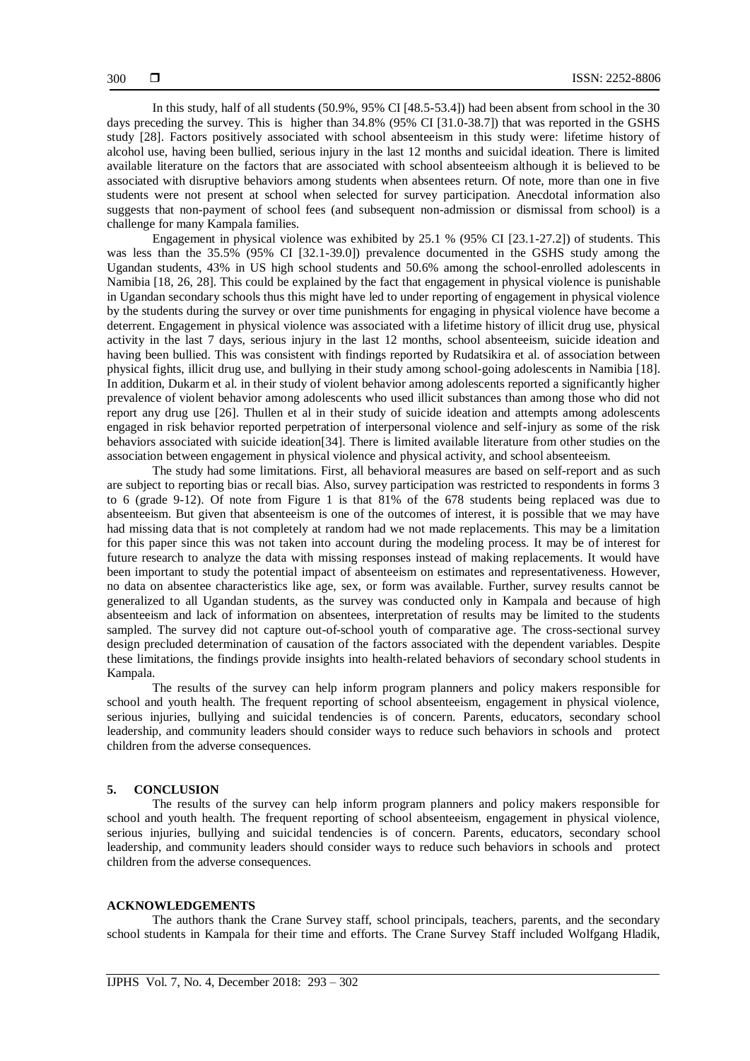In this study, half of all students (50.9%, 95% CI [48.5-53.4]) had been absent from school in the 30 days preceding the survey. This is higher than 34.8% (95% CI [31.0-38.7]) that was reported in the GSHS study [\[28\]](#page-9-0). Factors positively associated with school absenteeism in this study were: lifetime history of alcohol use, having been bullied, serious injury in the last 12 months and suicidal ideation. There is limited available literature on the factors that are associated with school absenteeism although it is believed to be associated with disruptive behaviors among students when absentees return. Of note, more than one in five students were not present at school when selected for survey participation. Anecdotal information also suggests that non-payment of school fees (and subsequent non-admission or dismissal from school) is a challenge for many Kampala families.

Engagement in physical violence was exhibited by 25.1 % (95% CI [23.1-27.2]) of students. This was less than the 35.5% (95% CI [32.1-39.0]) prevalence documented in the GSHS study among the Ugandan students, 43% in US high school students and 50.6% among the school-enrolled adolescents in Namibia [\[18,](#page-8-3) [26,](#page-8-11) [28\]](#page-9-0). This could be explained by the fact that engagement in physical violence is punishable in Ugandan secondary schools thus this might have led to under reporting of engagement in physical violence by the students during the survey or over time punishments for engaging in physical violence have become a deterrent. Engagement in physical violence was associated with a lifetime history of illicit drug use, physical activity in the last 7 days, serious injury in the last 12 months, school absenteeism, suicide ideation and having been bullied. This was consistent with findings reported by Rudatsikira et al. of association between physical fights, illicit drug use, and bullying in their study among school-going adolescents in Namibia [\[18\]](#page-8-3). In addition, Dukarm et al. in their study of violent behavior among adolescents reported a significantly higher prevalence of violent behavior among adolescents who used illicit substances than among those who did not report any drug use [\[26\]](#page-8-11). Thullen et al in their study of suicide ideation and attempts among adolescents engaged in risk behavior reported perpetration of interpersonal violence and self-injury as some of the risk behaviors associated with suicide ideation[\[34\]](#page-9-4). There is limited available literature from other studies on the association between engagement in physical violence and physical activity, and school absenteeism.

The study had some limitations. First, all behavioral measures are based on self-report and as such are subject to reporting bias or recall bias. Also, survey participation was restricted to respondents in forms 3 to 6 (grade 9-12). Of note from Figure 1 is that 81% of the 678 students being replaced was due to absenteeism. But given that absenteeism is one of the outcomes of interest, it is possible that we may have had missing data that is not completely at random had we not made replacements. This may be a limitation for this paper since this was not taken into account during the modeling process. It may be of interest for future research to analyze the data with missing responses instead of making replacements. It would have been important to study the potential impact of absenteeism on estimates and representativeness. However, no data on absentee characteristics like age, sex, or form was available. Further, survey results cannot be generalized to all Ugandan students, as the survey was conducted only in Kampala and because of high absenteeism and lack of information on absentees, interpretation of results may be limited to the students sampled. The survey did not capture out-of-school youth of comparative age. The cross-sectional survey design precluded determination of causation of the factors associated with the dependent variables. Despite these limitations, the findings provide insights into health-related behaviors of secondary school students in Kampala.

The results of the survey can help inform program planners and policy makers responsible for school and youth health. The frequent reporting of school absenteeism, engagement in physical violence, serious injuries, bullying and suicidal tendencies is of concern. Parents, educators, secondary school leadership, and community leaders should consider ways to reduce such behaviors in schools and protect children from the adverse consequences.

#### **5. CONCLUSION**

The results of the survey can help inform program planners and policy makers responsible for school and youth health. The frequent reporting of school absenteeism, engagement in physical violence, serious injuries, bullying and suicidal tendencies is of concern. Parents, educators, secondary school leadership, and community leaders should consider ways to reduce such behaviors in schools and protect children from the adverse consequences.

### **ACKNOWLEDGEMENTS**

The authors thank the Crane Survey staff, school principals, teachers, parents, and the secondary school students in Kampala for their time and efforts. The Crane Survey Staff included Wolfgang Hladik,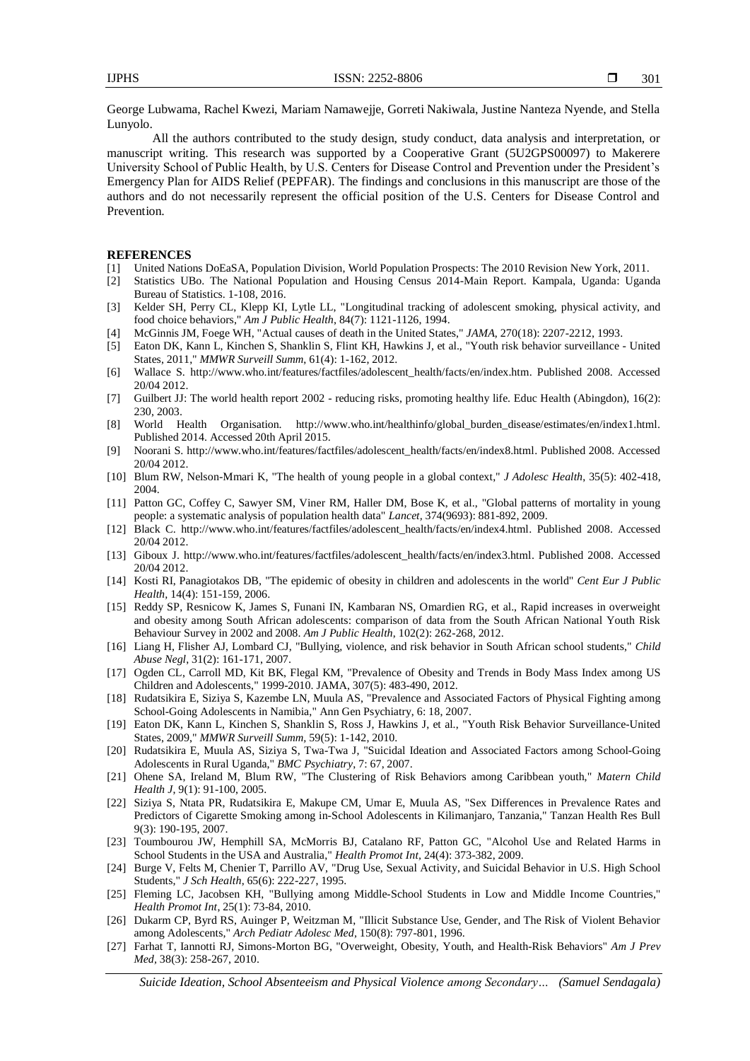George Lubwama, Rachel Kwezi, Mariam Namawejje, Gorreti Nakiwala, Justine Nanteza Nyende, and Stella Lunyolo.

All the authors contributed to the study design, study conduct, data analysis and interpretation, or manuscript writing. This research was supported by a Cooperative Grant (5U2GPS00097) to Makerere University School of Public Health, by U.S. Centers for Disease Control and Prevention under the President's Emergency Plan for AIDS Relief (PEPFAR). The findings and conclusions in this manuscript are those of the authors and do not necessarily represent the official position of the U.S. Centers for Disease Control and Prevention.

#### **REFERENCES**

- [1] United Nations DoEaSA, Population Division, World Population Prospects: The 2010 Revision New York, 2011.
- [2] Statistics UBo. The National Population and Housing Census 2014-Main Report. Kampala, Uganda: Uganda Bureau of Statistics. 1-108, 2016.
- [3] Kelder SH, Perry CL, Klepp KI, Lytle LL, "Longitudinal tracking of adolescent smoking, physical activity, and food choice behaviors," *Am J Public Health*, 84(7): 1121-1126, 1994.
- [4] McGinnis JM, Foege WH, "Actual causes of death in the United States," *JAMA*, 270(18): 2207-2212, 1993.
- [5] Eaton DK, Kann L, Kinchen S, Shanklin S, Flint KH, Hawkins J, et al., "Youth risk behavior surveillance United States, 2011," *MMWR Surveill Summ*, 61(4): 1-162, 2012.
- [6] Wallace S. [http://www.who.int/features/factfiles/adolescent\\_health/facts/en/index.htm.](http://www.who.int/features/factfiles/adolescent_health/facts/en/index.htm) Published 2008. Accessed 20/04 2012.
- [7] Guilbert JJ: The world health report 2002 reducing risks, promoting healthy life. Educ Health (Abingdon), 16(2): 230, 2003.
- [8] World Health Organisation. [http://www.who.int/healthinfo/global\\_burden\\_disease/estimates/en/index1.html.](http://www.who.int/healthinfo/global_burden_disease/estimates/en/index1.html) Published 2014. Accessed 20th April 2015.
- [9] Noorani S. [http://www.who.int/features/factfiles/adolescent\\_health/facts/en/index8.html.](http://www.who.int/features/factfiles/adolescent_health/facts/en/index8.html) Published 2008. Accessed 20/04 2012.
- <span id="page-8-7"></span>[10] Blum RW, Nelson-Mmari K, "The health of young people in a global context," *J Adolesc Health*, 35(5): 402-418, 2004.
- <span id="page-8-8"></span>[11] Patton GC, Coffey C, Sawyer SM, Viner RM, Haller DM, Bose K, et al., "Global patterns of mortality in young people: a systematic analysis of population health data" *Lancet,* 374(9693): 881-892, 2009.
- [12] Black C. [http://www.who.int/features/factfiles/adolescent\\_health/facts/en/index4.html.](http://www.who.int/features/factfiles/adolescent_health/facts/en/index4.html) Published 2008. Accessed 20/04 2012.
- [13] Giboux J. [http://www.who.int/features/factfiles/adolescent\\_health/facts/en/index3.html.](http://www.who.int/features/factfiles/adolescent_health/facts/en/index3.html) Published 2008. Accessed 20/04 2012.
- <span id="page-8-0"></span>[14] Kosti RI, Panagiotakos DB, "The epidemic of obesity in children and adolescents in the world" *Cent Eur J Public Health,* 14(4): 151-159, 2006.
- <span id="page-8-1"></span>[15] Reddy SP, Resnicow K, James S, Funani IN, Kambaran NS, Omardien RG, et al., Rapid increases in overweight and obesity among South African adolescents: comparison of data from the South African National Youth Risk Behaviour Survey in 2002 and 2008. *Am J Public Health*, 102(2): 262-268, 2012.
- <span id="page-8-2"></span>[16] Liang H, Flisher AJ, Lombard CJ, "Bullying, violence, and risk behavior in South African school students," *Child Abuse Negl*, 31(2): 161-171, 2007.
- [17] Ogden CL, Carroll MD, Kit BK, Flegal KM, "Prevalence of Obesity and Trends in Body Mass Index among US Children and Adolescents," 1999-2010. JAMA, 307(5): 483-490, 2012.
- <span id="page-8-3"></span>[18] Rudatsikira E, Siziya S, Kazembe LN, Muula AS, "Prevalence and Associated Factors of Physical Fighting among School-Going Adolescents in Namibia," Ann Gen Psychiatry, 6: 18, 2007.
- [19] Eaton DK, Kann L, Kinchen S, Shanklin S, Ross J, Hawkins J, et al., "Youth Risk Behavior Surveillance-United States, 2009," *MMWR Surveill Summ,* 59(5): 1-142, 2010.
- <span id="page-8-9"></span>[20] Rudatsikira E, Muula AS, Siziya S, Twa-Twa J, "Suicidal Ideation and Associated Factors among School-Going Adolescents in Rural Uganda," *BMC Psychiatry*, 7: 67, 2007.
- <span id="page-8-5"></span>[21] Ohene SA, Ireland M, Blum RW, "The Clustering of Risk Behaviors among Caribbean youth," *Matern Child Health J*, 9(1): 91-100, 2005.
- <span id="page-8-6"></span>[22] Siziya S, Ntata PR, Rudatsikira E, Makupe CM, Umar E, Muula AS, "Sex Differences in Prevalence Rates and Predictors of Cigarette Smoking among in-School Adolescents in Kilimanjaro, Tanzania," Tanzan Health Res Bull 9(3): 190-195, 2007.
- [23] Toumbourou JW, Hemphill SA, McMorris BJ, Catalano RF, Patton GC, "Alcohol Use and Related Harms in School Students in the USA and Australia," *Health Promot Int,* 24(4): 373-382, 2009.
- <span id="page-8-10"></span>[24] Burge V, Felts M, Chenier T, Parrillo AV, "Drug Use, Sexual Activity, and Suicidal Behavior in U.S. High School Students," *J Sch Health*, 65(6): 222-227, 1995.
- <span id="page-8-4"></span>[25] Fleming LC, Jacobsen KH, "Bullying among Middle-School Students in Low and Middle Income Countries," *Health Promot Int*, 25(1): 73-84, 2010.
- <span id="page-8-11"></span>[26] Dukarm CP, Byrd RS, Auinger P, Weitzman M, "Illicit Substance Use, Gender, and The Risk of Violent Behavior among Adolescents," *Arch Pediatr Adolesc Med,* 150(8): 797-801, 1996.
- [27] Farhat T, Iannotti RJ, Simons-Morton BG, "Overweight, Obesity, Youth, and Health-Risk Behaviors" *Am J Prev Med,* 38(3): 258-267, 2010.